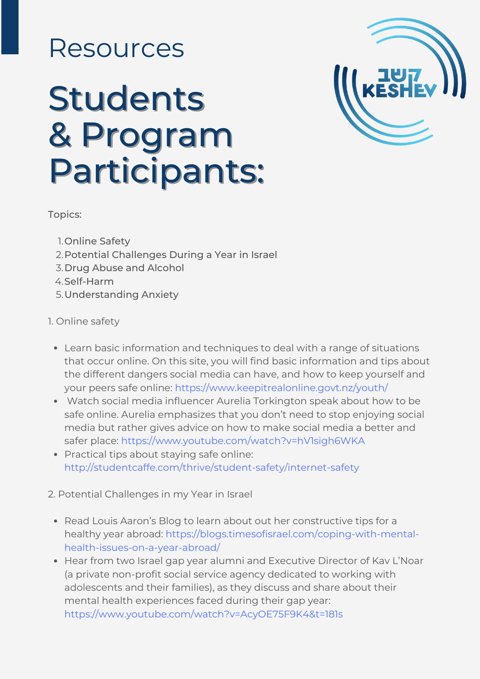## Resources

# Students & Program Participants:



Topics:

- 1. Online Safety
- 2. Potential Challenges During a Year in Israel
- 3. Drug Abuse and Alcohol
- 4. Self-Harm
- Understanding Anxiety 5.

### 1. Online safety

- Learn basic information and techniques to deal with a range of situations that occur online. On this site, you will find basic information and tips about the different dangers social media can have, and how to keep yourself and your peers safe online: <https://www.keepitrealonline.govt.nz/youth/>
- Watch social media influencer Aurelia Torkington speak about how to be safe online. Aurelia emphasizes that you don't need to stop enjoying social media but rather gives advice on how to make social media a better and safer place: <https://www.youtube.com/watch?v=hV1sigh6WKA>
- Practical tips about staying safe online: <http://studentcaffe.com/thrive/student-safety/internet-safety>

2. Potential Challenges in my Year in Israel

- Read Louis Aaron's Blog to learn about out her constructive tips for a healthy year abroad[:](https://blogs.timesofisrael.com/coping-with-mental-health-issues-on-a-year-abroad/) [https://blogs.timesofisrael.com/coping-with-mental](https://blogs.timesofisrael.com/coping-with-mental-health-issues-on-a-year-abroad/)health-issues-on-a-year-abroad/
- Hear from two Israel gap year alumni and Executive Director of Kav L'Noar (a private non-profit social service agency dedicated to working with adolescents and their families), as they discuss and share about their mental health experiences faced during their gap year: <https://www.youtube.com/watch?v=AcyOE75F9K4&t=181s>